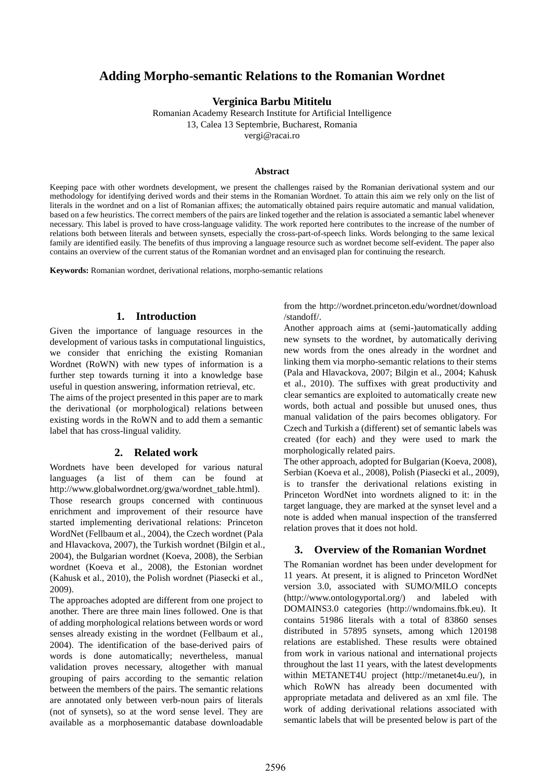# **Adding Morpho-semantic Relations to the Romanian Wordnet**

**Verginica Barbu Mititelu** 

Romanian Academy Research Institute for Artificial Intelligence 13, Calea 13 Septembrie, Bucharest, Romania vergi@racai.ro

#### **Abstract**

Keeping pace with other wordnets development, we present the challenges raised by the Romanian derivational system and our methodology for identifying derived words and their stems in the Romanian Wordnet. To attain this aim we rely only on the list of literals in the wordnet and on a list of Romanian affixes; the automatically obtained pairs require automatic and manual validation, based on a few heuristics. The correct members of the pairs are linked together and the relation is associated a semantic label whenever necessary. This label is proved to have cross-language validity. The work reported here contributes to the increase of the number of relations both between literals and between synsets, especially the cross-part-of-speech links. Words belonging to the same lexical family are identified easily. The benefits of thus improving a language resource such as wordnet become self-evident. The paper also contains an overview of the current status of the Romanian wordnet and an envisaged plan for continuing the research.

**Keywords:** Romanian wordnet, derivational relations, morpho-semantic relations

### **1. Introduction**

Given the importance of language resources in the development of various tasks in computational linguistics, we consider that enriching the existing Romanian Wordnet (RoWN) with new types of information is a further step towards turning it into a knowledge base useful in question answering, information retrieval, etc. The aims of the project presented in this paper are to mark the derivational (or morphological) relations between existing words in the RoWN and to add them a semantic label that has cross-lingual validity.

#### **2. Related work**

Wordnets have been developed for various natural languages (a list of them can be found at http://www.globalwordnet.org/gwa/wordnet\_table.html). Those research groups concerned with continuous enrichment and improvement of their resource have started implementing derivational relations: Princeton WordNet (Fellbaum et al., 2004), the Czech wordnet (Pala and Hlavackova, 2007), the Turkish wordnet (Bilgin et al., 2004), the Bulgarian wordnet (Koeva, 2008), the Serbian wordnet (Koeva et al., 2008), the Estonian wordnet (Kahusk et al., 2010), the Polish wordnet (Piasecki et al., 2009).

The approaches adopted are different from one project to another. There are three main lines followed. One is that of adding morphological relations between words or word senses already existing in the wordnet (Fellbaum et al., 2004). The identification of the base-derived pairs of words is done automatically; nevertheless, manual validation proves necessary, altogether with manual grouping of pairs according to the semantic relation between the members of the pairs. The semantic relations are annotated only between verb-noun pairs of literals (not of synsets), so at the word sense level. They are available as a morphosemantic database downloadable

from the http://wordnet.princeton.edu/wordnet/download /standoff/.

Another approach aims at (semi-)automatically adding new synsets to the wordnet, by automatically deriving new words from the ones already in the wordnet and linking them via morpho-semantic relations to their stems (Pala and Hlavackova, 2007; Bilgin et al., 2004; Kahusk et al., 2010). The suffixes with great productivity and clear semantics are exploited to automatically create new words, both actual and possible but unused ones, thus manual validation of the pairs becomes obligatory. For Czech and Turkish a (different) set of semantic labels was created (for each) and they were used to mark the morphologically related pairs.

The other approach, adopted for Bulgarian (Koeva, 2008), Serbian (Koeva et al., 2008), Polish (Piasecki et al., 2009), is to transfer the derivational relations existing in Princeton WordNet into wordnets aligned to it: in the target language, they are marked at the synset level and a note is added when manual inspection of the transferred relation proves that it does not hold.

#### **3. Overview of the Romanian Wordnet**

The Romanian wordnet has been under development for 11 years. At present, it is aligned to Princeton WordNet version 3.0, associated with SUMO/MILO concepts (http://www.ontologyportal.org/) and labeled with DOMAINS3.0 categories (http://wndomains.fbk.eu). It contains 51986 literals with a total of 83860 senses distributed in 57895 synsets, among which 120198 relations are established. These results were obtained from work in various national and international projects throughout the last 11 years, with the latest developments within METANET4U project (http://metanet4u.eu/), in which RoWN has already been documented with appropriate metadata and delivered as an xml file. The work of adding derivational relations associated with semantic labels that will be presented below is part of the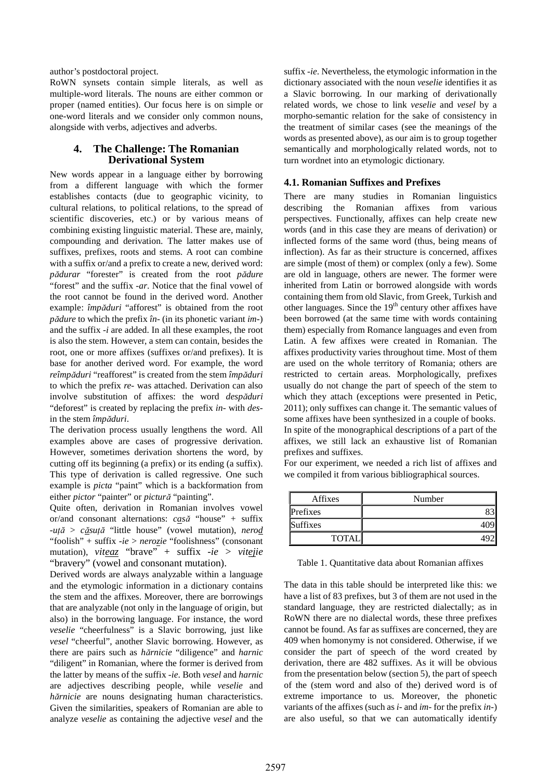author's postdoctoral project.

RoWN synsets contain simple literals, as well as multiple-word literals. The nouns are either common or proper (named entities). Our focus here is on simple or one-word literals and we consider only common nouns, alongside with verbs, adjectives and adverbs.

## **4. The Challenge: The Romanian Derivational System**

New words appear in a language either by borrowing from a different language with which the former establishes contacts (due to geographic vicinity, to cultural relations, to political relations, to the spread of scientific discoveries, etc.) or by various means of combining existing linguistic material. These are, mainly, compounding and derivation. The latter makes use of suffixes, prefixes, roots and stems. A root can combine with a suffix or/and a prefix to create a new, derived word: *p*ă*durar* "forester" is created from the root *p*ă*dure* "forest" and the suffix *-ar*. Notice that the final vowel of the root cannot be found in the derived word. Another example: *împ*ă*duri* "afforest" is obtained from the root *p*ă*dure* to which the prefix *în-* (in its phonetic variant *im-*) and the suffix *-i* are added. In all these examples, the root is also the stem. However, a stem can contain, besides the root, one or more affixes (suffixes or/and prefixes). It is base for another derived word. For example, the word *reîmp*ă*duri* "reafforest" is created from the stem *împ*ă*duri* to which the prefix *re-* was attached. Derivation can also involve substitution of affixes: the word *desp*ă*duri* "deforest" is created by replacing the prefix *in-* with *des*in the stem *împ*ă*duri*.

The derivation process usually lengthens the word. All examples above are cases of progressive derivation. However, sometimes derivation shortens the word, by cutting off its beginning (a prefix) or its ending (a suffix). This type of derivation is called regressive. One such example is *picta* "paint" which is a backformation from either *pictor* "painter" or *pictur*ă "painting".

Quite often, derivation in Romanian involves vowel or/and consonant alternations: *cas*ă "house" + suffix *-u*ţă > *c*ă*su*ţă "little house" (vowel mutation), *nerod* "foolish" + suffix *-ie* > *nerozie* "foolishness" (consonant mutation), *viteaz* "brave" + suffix *-ie* > *vitejie* "bravery" (vowel and consonant mutation).

Derived words are always analyzable within a language and the etymologic information in a dictionary contains the stem and the affixes. Moreover, there are borrowings that are analyzable (not only in the language of origin, but also) in the borrowing language. For instance, the word *veselie* "cheerfulness" is a Slavic borrowing, just like *vesel* "cheerful", another Slavic borrowing. However, as there are pairs such as *h*ă*rnicie* "diligence" and *harnic* "diligent" in Romanian, where the former is derived from the latter by means of the suffix *-ie*. Both *vesel* and *harnic* are adjectives describing people, while *veselie* and *h*ă*rnicie* are nouns designating human characteristics. Given the similarities, speakers of Romanian are able to analyze *veselie* as containing the adjective *vesel* and the

suffix *-ie*. Nevertheless, the etymologic information in the dictionary associated with the noun *veselie* identifies it as a Slavic borrowing. In our marking of derivationally related words, we chose to link *veselie* and *vesel* by a morpho-semantic relation for the sake of consistency in the treatment of similar cases (see the meanings of the words as presented above), as our aim is to group together semantically and morphologically related words, not to turn wordnet into an etymologic dictionary.

## **4.1. Romanian Suffixes and Prefixes**

There are many studies in Romanian linguistics describing the Romanian affixes from various perspectives. Functionally, affixes can help create new words (and in this case they are means of derivation) or inflected forms of the same word (thus, being means of inflection). As far as their structure is concerned, affixes are simple (most of them) or complex (only a few). Some are old in language, others are newer. The former were inherited from Latin or borrowed alongside with words containing them from old Slavic, from Greek, Turkish and other languages. Since the  $19<sup>th</sup>$  century other affixes have been borrowed (at the same time with words containing them) especially from Romance languages and even from Latin. A few affixes were created in Romanian. The affixes productivity varies throughout time. Most of them are used on the whole territory of Romania; others are restricted to certain areas. Morphologically, prefixes usually do not change the part of speech of the stem to which they attach (exceptions were presented in Petic, 2011); only suffixes can change it. The semantic values of some affixes have been synthesized in a couple of books. In spite of the monographical descriptions of a part of the affixes, we still lack an exhaustive list of Romanian prefixes and suffixes.

For our experiment, we needed a rich list of affixes and we compiled it from various bibliographical sources.

| Affixes      | Number |
|--------------|--------|
| Prefixes     |        |
| Suffixes     |        |
| <b>TOTAI</b> |        |

Table 1. Quantitative data about Romanian affixes

The data in this table should be interpreted like this: we have a list of 83 prefixes, but 3 of them are not used in the standard language, they are restricted dialectally; as in RoWN there are no dialectal words, these three prefixes cannot be found. As far as suffixes are concerned, they are 409 when homonymy is not considered. Otherwise, if we consider the part of speech of the word created by derivation, there are 482 suffixes. As it will be obvious from the presentation below (section 5), the part of speech of the (stem word and also of the) derived word is of extreme importance to us. Moreover, the phonetic variants of the affixes (such as *i-* and *im-* for the prefix *in-*) are also useful, so that we can automatically identify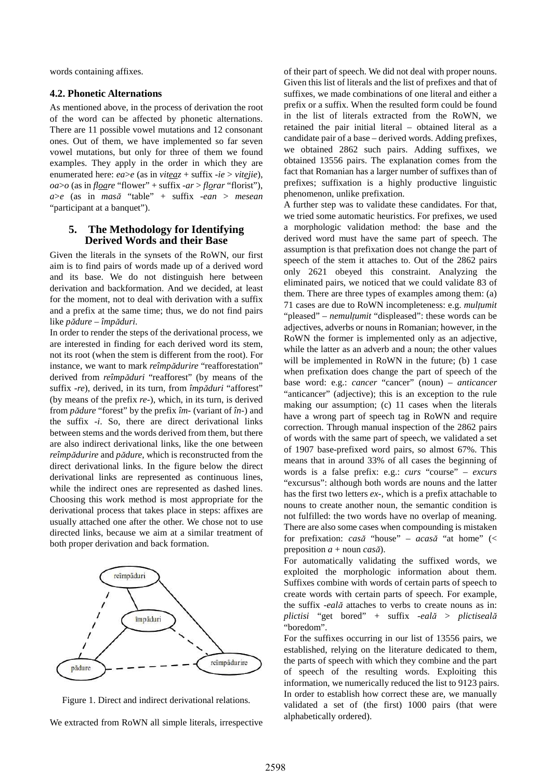words containing affixes.

#### **4.2. Phonetic Alternations**

As mentioned above, in the process of derivation the root of the word can be affected by phonetic alternations. There are 11 possible vowel mutations and 12 consonant ones. Out of them, we have implemented so far seven vowel mutations, but only for three of them we found examples. They apply in the order in which they are enumerated here: *ea*>*e* (as in *viteaz* + suffix *-ie* > *vitejie*), *oa*>*o* (as in *floare* "flower" + suffix *-ar* > *florar* "florist"), *a*>*e* (as in *mas*ă "table" + suffix *-ean* > *mesean* "participant at a banquet").

## **5. The Methodology for Identifying Derived Words and their Base**

Given the literals in the synsets of the RoWN, our first aim is to find pairs of words made up of a derived word and its base. We do not distinguish here between derivation and backformation. And we decided, at least for the moment, not to deal with derivation with a suffix and a prefix at the same time; thus, we do not find pairs like *p*ă*dure* – *împ*ă*duri*.

In order to render the steps of the derivational process, we are interested in finding for each derived word its stem, not its root (when the stem is different from the root). For instance, we want to mark *reîmp*ă*durire* "reafforestation" derived from *reîmp*ă*duri* "reafforest" (by means of the suffix *-re*), derived, in its turn, from *împ*ă*duri* "afforest" (by means of the prefix *re-*), which, in its turn, is derived from *p*ă*dure* "forest" by the prefix *îm-* (variant of *în-*) and the suffix *-i*. So, there are direct derivational links between stems and the words derived from them, but there are also indirect derivational links, like the one between *reîmp*ă*durire* and *p*ă*dure*, which is reconstructed from the direct derivational links. In the figure below the direct derivational links are represented as continuous lines, while the indirect ones are represented as dashed lines. Choosing this work method is most appropriate for the derivational process that takes place in steps: affixes are usually attached one after the other. We chose not to use directed links, because we aim at a similar treatment of both proper derivation and back formation.



Figure 1. Direct and indirect derivational relations.

We extracted from RoWN all simple literals, irrespective

of their part of speech. We did not deal with proper nouns. Given this list of literals and the list of prefixes and that of suffixes, we made combinations of one literal and either a prefix or a suffix. When the resulted form could be found in the list of literals extracted from the RoWN, we retained the pair initial literal – obtained literal as a candidate pair of a base – derived words. Adding prefixes, we obtained 2862 such pairs. Adding suffixes, we obtained 13556 pairs. The explanation comes from the fact that Romanian has a larger number of suffixes than of prefixes; suffixation is a highly productive linguistic phenomenon, unlike prefixation.

A further step was to validate these candidates. For that, we tried some automatic heuristics. For prefixes, we used a morphologic validation method: the base and the derived word must have the same part of speech. The assumption is that prefixation does not change the part of speech of the stem it attaches to. Out of the 2862 pairs only 2621 obeyed this constraint. Analyzing the eliminated pairs, we noticed that we could validate 83 of them. There are three types of examples among them: (a) 71 cases are due to RoWN incompleteness: e.g. *mul*ţ*umit* "pleased" – *nemul*ţ*umit* "displeased": these words can be adjectives, adverbs or nouns in Romanian; however, in the RoWN the former is implemented only as an adjective, while the latter as an adverb and a noun; the other values will be implemented in RoWN in the future; (b) 1 case when prefixation does change the part of speech of the base word: e.g.: *cancer* "cancer" (noun) – *anticancer* "anticancer" (adjective); this is an exception to the rule making our assumption; (c) 11 cases when the literals have a wrong part of speech tag in RoWN and require correction. Through manual inspection of the 2862 pairs of words with the same part of speech, we validated a set of 1907 base-prefixed word pairs, so almost 67%. This means that in around 33% of all cases the beginning of words is a false prefix: e.g.: *curs* "course" – *excurs* "excursus": although both words are nouns and the latter has the first two letters *ex-*, which is a prefix attachable to nouns to create another noun, the semantic condition is not fulfilled: the two words have no overlap of meaning. There are also some cases when compounding is mistaken for prefixation: *cas*ă "house" – *acas*ă "at home" (< preposition *a* + noun *cas*ă).

For automatically validating the suffixed words, we exploited the morphologic information about them. Suffixes combine with words of certain parts of speech to create words with certain parts of speech. For example, the suffix *-eal*ă attaches to verbs to create nouns as in: *plictisi* "get bored" + suffix *-eal*ă > *plictiseal*ă "boredom".

For the suffixes occurring in our list of 13556 pairs, we established, relying on the literature dedicated to them, the parts of speech with which they combine and the part of speech of the resulting words. Exploiting this information, we numerically reduced the list to 9123 pairs. In order to establish how correct these are, we manually validated a set of (the first) 1000 pairs (that were alphabetically ordered).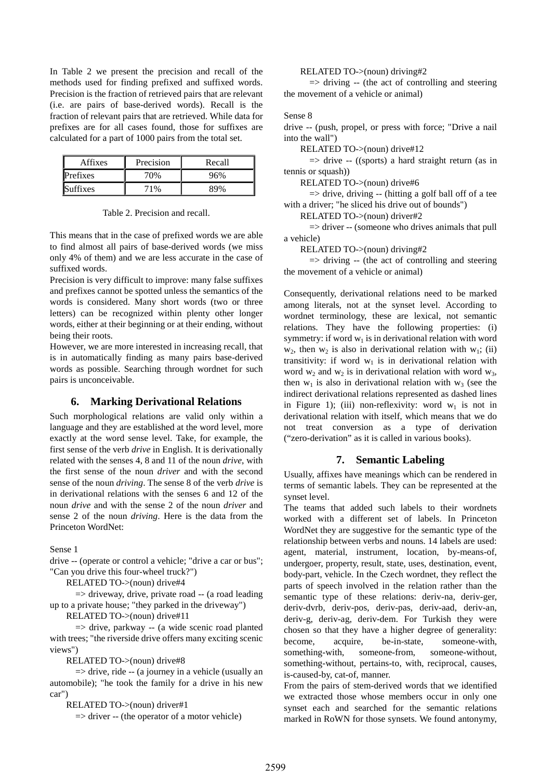In Table 2 we present the precision and recall of the methods used for finding prefixed and suffixed words. Precision is the fraction of retrieved pairs that are relevant (i.e. are pairs of base-derived words). Recall is the fraction of relevant pairs that are retrieved. While data for prefixes are for all cases found, those for suffixes are calculated for a part of 1000 pairs from the total set.

| Affixes  | Precision | Recall |
|----------|-----------|--------|
| Prefixes | 70%       | 96%    |
| Suffixes | $1\%$     |        |

Table 2. Precision and recall.

This means that in the case of prefixed words we are able to find almost all pairs of base-derived words (we miss only 4% of them) and we are less accurate in the case of suffixed words.

Precision is very difficult to improve: many false suffixes and prefixes cannot be spotted unless the semantics of the words is considered. Many short words (two or three letters) can be recognized within plenty other longer words, either at their beginning or at their ending, without being their roots.

However, we are more interested in increasing recall, that is in automatically finding as many pairs base-derived words as possible. Searching through wordnet for such pairs is unconceivable.

## **6. Marking Derivational Relations**

Such morphological relations are valid only within a language and they are established at the word level, more exactly at the word sense level. Take, for example, the first sense of the verb *drive* in English. It is derivationally related with the senses 4, 8 and 11 of the noun *drive*, with the first sense of the noun *driver* and with the second sense of the noun *driving*. The sense 8 of the verb *drive* is in derivational relations with the senses 6 and 12 of the noun *drive* and with the sense 2 of the noun *driver* and sense 2 of the noun *driving*. Here is the data from the Princeton WordNet:

Sense 1

drive -- (operate or control a vehicle; "drive a car or bus"; "Can you drive this four-wheel truck?")

RELATED TO->(noun) drive#4

 $\Rightarrow$  driveway, drive, private road  $\rightarrow$  (a road leading up to a private house; "they parked in the driveway")

RELATED TO->(noun) drive#11

 $\Rightarrow$  drive, parkway -- (a wide scenic road planted with trees; "the riverside drive offers many exciting scenic views")

RELATED TO->(noun) drive#8

 $\Rightarrow$  drive, ride -- (a journey in a vehicle (usually an automobile); "he took the family for a drive in his new car")

RELATED TO->(noun) driver#1

=> driver -- (the operator of a motor vehicle)

RELATED TO->(noun) driving#2

 $\Rightarrow$  driving -- (the act of controlling and steering the movement of a vehicle or animal)

## Sense 8

drive -- (push, propel, or press with force; "Drive a nail into the wall")

RELATED TO->(noun) drive#12

 $\Rightarrow$  drive -- ((sports) a hard straight return (as in tennis or squash)

RELATED TO->(noun) drive#6

 $\Rightarrow$  drive, driving -- (hitting a golf ball off of a tee with a driver; "he sliced his drive out of bounds")

RELATED TO->(noun) driver#2

 $\Rightarrow$  driver -- (someone who drives animals that pull a vehicle)

RELATED TO->(noun) driving#2

 $\Rightarrow$  driving -- (the act of controlling and steering the movement of a vehicle or animal)

Consequently, derivational relations need to be marked among literals, not at the synset level. According to wordnet terminology, these are lexical, not semantic relations. They have the following properties: (i) symmetry: if word  $w_1$  is in derivational relation with word  $w_2$ , then  $w_2$  is also in derivational relation with  $w_1$ ; (ii) transitivity: if word  $w_1$  is in derivational relation with word  $w_2$  and  $w_2$  is in derivational relation with word  $w_3$ , then  $w_1$  is also in derivational relation with  $w_3$  (see the indirect derivational relations represented as dashed lines in Figure 1); (iii) non-reflexivity: word  $w_1$  is not in derivational relation with itself, which means that we do not treat conversion as a type of derivation ("zero-derivation" as it is called in various books).

# **7. Semantic Labeling**

Usually, affixes have meanings which can be rendered in terms of semantic labels. They can be represented at the synset level.

The teams that added such labels to their wordnets worked with a different set of labels. In Princeton WordNet they are suggestive for the semantic type of the relationship between verbs and nouns. 14 labels are used: agent, material, instrument, location, by-means-of, undergoer, property, result, state, uses, destination, event, body-part, vehicle. In the Czech wordnet, they reflect the parts of speech involved in the relation rather than the semantic type of these relations: deriv-na, deriv-ger, deriv-dvrb, deriv-pos, deriv-pas, deriv-aad, deriv-an, deriv-g, deriv-ag, deriv-dem. For Turkish they were chosen so that they have a higher degree of generality: become, acquire, be-in-state, someone-with, something-with, someone-from, someone-without, something-without, pertains-to, with, reciprocal, causes, is-caused-by, cat-of, manner.

From the pairs of stem-derived words that we identified we extracted those whose members occur in only one synset each and searched for the semantic relations marked in RoWN for those synsets. We found antonymy,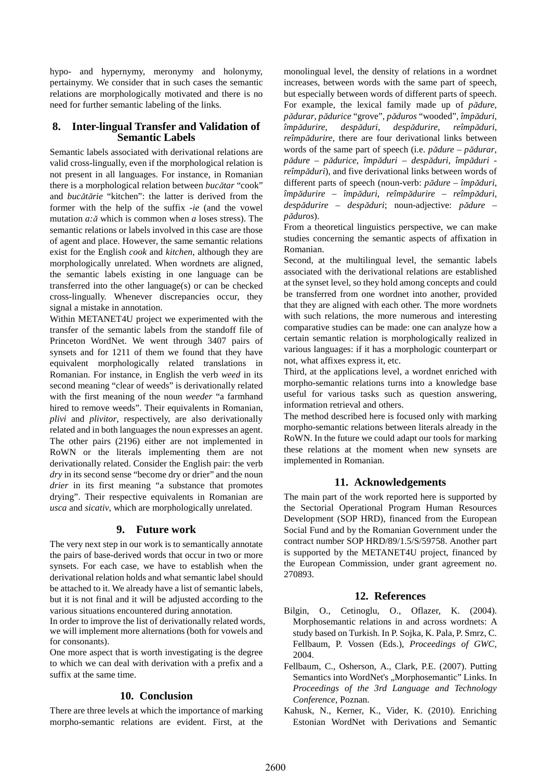hypo- and hypernymy, meronymy and holonymy, pertainymy. We consider that in such cases the semantic relations are morphologically motivated and there is no need for further semantic labeling of the links.

## **8. Inter-lingual Transfer and Validation of Semantic Labels**

Semantic labels associated with derivational relations are valid cross-lingually, even if the morphological relation is not present in all languages. For instance, in Romanian there is a morphological relation between *buc*ă*tar* "cook" and *buc*ă*t*ă*rie* "kitchen": the latter is derived from the former with the help of the suffix *-ie* (and the vowel mutation *a:*ă which is common when *a* loses stress). The semantic relations or labels involved in this case are those of agent and place. However, the same semantic relations exist for the English *cook* and *kitchen*, although they are morphologically unrelated. When wordnets are aligned, the semantic labels existing in one language can be transferred into the other language(s) or can be checked cross-lingually. Whenever discrepancies occur, they signal a mistake in annotation.

Within METANET4U project we experimented with the transfer of the semantic labels from the standoff file of Princeton WordNet. We went through 3407 pairs of synsets and for 1211 of them we found that they have equivalent morphologically related translations in Romanian. For instance, in English the verb *weed* in its second meaning "clear of weeds" is derivationally related with the first meaning of the noun *weeder* "a farmhand hired to remove weeds". Their equivalents in Romanian, *plivi* and *plivitor*, respectively, are also derivationally related and in both languages the noun expresses an agent. The other pairs (2196) either are not implemented in RoWN or the literals implementing them are not derivationally related. Consider the English pair: the verb *dry* in its second sense "become dry or drier" and the noun *drier* in its first meaning "a substance that promotes drying". Their respective equivalents in Romanian are *usca* and *sicativ*, which are morphologically unrelated.

## **9. Future work**

The very next step in our work is to semantically annotate the pairs of base-derived words that occur in two or more synsets. For each case, we have to establish when the derivational relation holds and what semantic label should be attached to it. We already have a list of semantic labels, but it is not final and it will be adjusted according to the various situations encountered during annotation.

In order to improve the list of derivationally related words, we will implement more alternations (both for vowels and for consonants).

One more aspect that is worth investigating is the degree to which we can deal with derivation with a prefix and a suffix at the same time.

## **10. Conclusion**

There are three levels at which the importance of marking morpho-semantic relations are evident. First, at the

monolingual level, the density of relations in a wordnet increases, between words with the same part of speech, but especially between words of different parts of speech. For example, the lexical family made up of *p*ă*dure*, *p*ă*durar*, *p*ă*durice* "grove", *p*ă*duros* "wooded", *împ*ă*duri*, *împ*ă*durire*, *desp*ă*duri*, *desp*ă*durire*, *reîmp*ă*duri*, *reîmp*ă*durire*, there are four derivational links between words of the same part of speech (i.e. *p*ă*dure* – *p*ă*durar*, *p*ă*dure* – *p*ă*durice*, *împ*ă*duri* – *desp*ă*duri*, *împ*ă*duri reîmp*ă*duri*), and five derivational links between words of different parts of speech (noun-verb: *p*ă*dure* – *împ*ă*duri*, *împ*ă*durire* – *împ*ă*duri*, *reîmp*ă*durire* – *reîmp*ă*duri*, *desp*ă*durire* – *desp*ă*duri*; noun-adjective: *p*ă*dure* – *p*ă*duros*).

From a theoretical linguistics perspective, we can make studies concerning the semantic aspects of affixation in Romanian.

Second, at the multilingual level, the semantic labels associated with the derivational relations are established at the synset level, so they hold among concepts and could be transferred from one wordnet into another, provided that they are aligned with each other. The more wordnets with such relations, the more numerous and interesting comparative studies can be made: one can analyze how a certain semantic relation is morphologically realized in various languages: if it has a morphologic counterpart or not, what affixes express it, etc.

Third, at the applications level, a wordnet enriched with morpho-semantic relations turns into a knowledge base useful for various tasks such as question answering, information retrieval and others.

The method described here is focused only with marking morpho-semantic relations between literals already in the RoWN. In the future we could adapt our tools for marking these relations at the moment when new synsets are implemented in Romanian.

## **11. Acknowledgements**

The main part of the work reported here is supported by the Sectorial Operational Program Human Resources Development (SOP HRD), financed from the European Social Fund and by the Romanian Government under the contract number SOP HRD/89/1.5/S/59758. Another part is supported by the METANET4U project, financed by the European Commission, under grant agreement no. 270893.

## **12. References**

- Bilgin, O., Cetinoglu, O., Oflazer, K. (2004). Morphosemantic relations in and across wordnets: A study based on Turkish. In P. Sojka, K. Pala, P. Smrz, C. Fellbaum, P. Vossen (Eds.), *Proceedings of GWC*, 2004.
- Fellbaum, C., Osherson, A., Clark, P.E. (2007). Putting Semantics into WordNet's "Morphosemantic" Links. In *Proceedings of the 3rd Language and Technology Conference*, Poznan.
- Kahusk, N., Kerner, K., Vider, K. (2010). Enriching Estonian WordNet with Derivations and Semantic